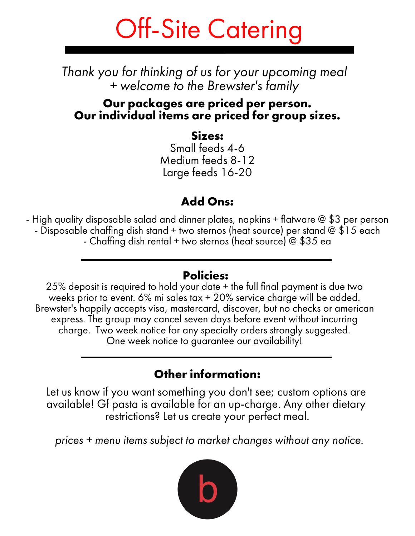# Off-Site Catering

*Thank you for thinking of us for your upcoming meal + welcome to the Brewster's family*

### **Our packages are priced per person. Our individual items are priced for group sizes.**

### **Sizes:**

Small feeds 4-6 Medium feeds 8-12 Large feeds 16-20

### **Add Ons:**

- High quality disposable salad and dinner plates, napkins + flatware @ \$3 per person - Disposable chaffing dish stand + two sternos (heat source) per stand @ \$15 each - Chaffing dish rental + two sternos (heat source) @ \$35 ea

### **Policies:**

25% deposit is required to hold your date + the full final payment is due two weeks prior to event. 6% mi sales tax + 20% service charge will be added. Brewster's happily accepts visa, mastercard, discover, but no checks or american express. The group may cancel seven days before event without incurring charge. Two week notice for any specialty orders strongly suggested. One week notice to guarantee our availability!

### **Other information:**

Let us know if you want something you don't see; custom options are available! Gf pasta is available for an up-charge. Any other dietary restrictions? Let us create your perfect meal.

*prices + menu items subject to market changes without any notice.*

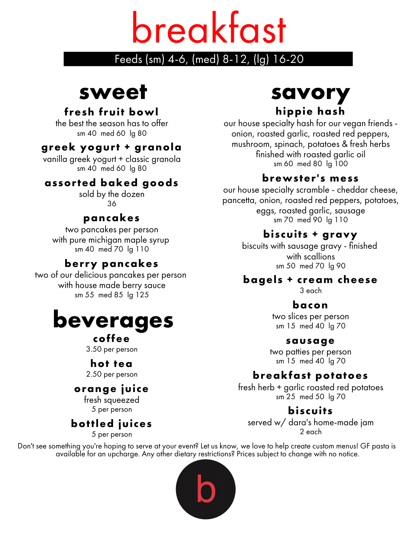# breakfast

### Feeds (sm) 4-6, (med) 8-12, (lg) 16-20

# **sweet**

### **fresh fruit bowl**

the best the season has to offer sm 40 med 60 lg 80

### **greek yogurt + granola**

vanilla greek yogurt + classic granola sm 40 med 60 lg 80

### **assorted baked goods**

sold by the dozen 36

### **pancakes**

two pancakes per person with pure michigan maple syrup sm 40 med 70 lg 110

### **berry pancakes**

two of our delicious pancakes per person with house made berry sauce sm 55 med 85 lg 125

# **beverages**

### **coffee**

3.50 per person

### **hot tea**

2.50 per person

### **orange juice**

fresh squeezed 5 per person

### **bottled juices**

5 per person

# **savory hippie hash**

our house specialty hash for our vegan friends onion, roasted garlic, roasted red peppers, mushroom, spinach, potatoes & fresh herbs finished with roasted garlic oil sm 60 med 80 lg 100

### **brewster's mess**

our house specialty scramble - cheddar cheese, pancetta, onion, roasted red peppers, potatoes, eggs, roasted garlic, sausage sm 70 med 90 lg 110

### **biscuits + gravy**

biscuits with sausage gravy - finished with scallions sm 50 med 70 lg 90

### **bagels + cream cheese**

3 each

### **bacon**

two slices per person sm 15 med 40 lg 70

### **sausage**

two patties per person sm 15 med 40 lg 70

### **breakfast potatoes**

fresh herb + garlic roasted red potatoes sm 25 med 50 lg 70

### **biscuits**

served w/ dara's home-made jam 2 each

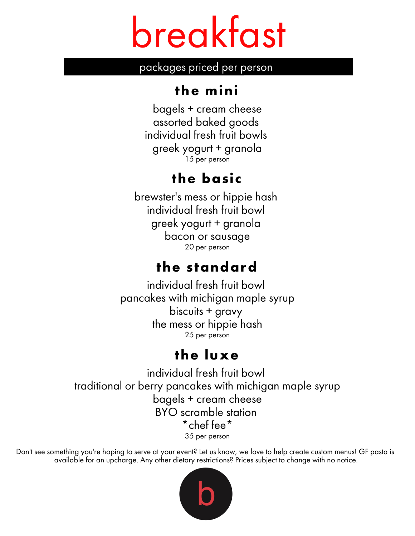# breakfast

packages priced per person

# **the mini**

bagels + cream cheese assorted baked goods individual fresh fruit bowls greek yogurt + granola 15 per person

# **the basic**

individual fresh fruit bowl brewster's mess or hippie hash greek yogurt + granola bacon or sausage 20 per person

# **the standard**

individual fresh fruit bowl pancakes with michigan maple syrup biscuits + gravy the mess or hippie hash 25 per person

# **the luxe**

individual fresh fruit bowl traditional or berry pancakes with michigan maple syrup bagels + cream cheese BYO scramble station \*chef fee\* 35 per person

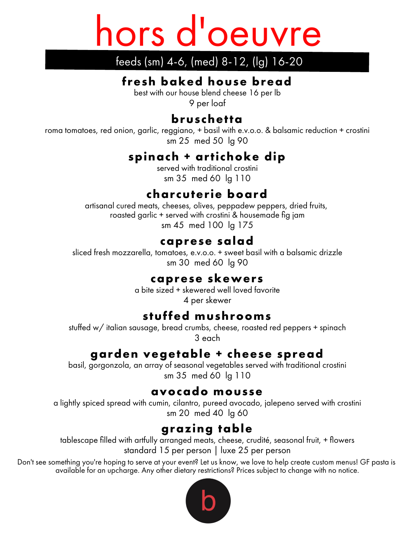# hors d'oeuvre

## feeds (sm) 4-6, (med) 8-12, (lg) 16-20

### **fresh baked house bread**

best with our house blend cheese 16 per lb

9 per loaf

### **bruschetta**

roma tomatoes, red onion, garlic, reggiano, + basil with e.v.o.o. & balsamic reduction + crostini sm 25 med 50 lg 90

### **spinach + artichoke dip**

served with traditional crostini sm 35 med 60 lg 110

### **charcuterie board**

artisanal cured meats, cheeses, olives, peppadew peppers, dried fruits, roasted garlic + served with crostini & housemade fig jam sm 45 med 100 lg 175

### **caprese salad**

sliced fresh mozzarella, tomatoes, e.v.o.o. + sweet basil with a balsamic drizzle sm 30 med 60 lg 90

### **caprese skewers**

a bite sized + skewered well loved favorite 4 per skewer

### **stuffed mushrooms**

stuffed w/ italian sausage, bread crumbs, cheese, roasted red peppers + spinach 3 each

### **garden vegetable + cheese spread**

basil, gorgonzola, an array of seasonal vegetables served with traditional crostini sm 35 med 60 lg 110

### **avocado mousse**

a lightly spiced spread with cumin, cilantro, pureed avocado, jalepeno served with crostini sm 20 med 40 lg 60

### **grazing table**

tablescape filled with artfully arranged meats, cheese, crudité, seasonal fruit, + flowers standard 15 per person | luxe 25 per person

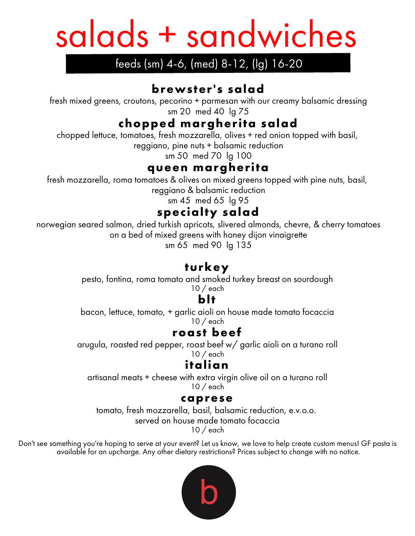# salads + sandwiches

### feeds (sm) 4-6, (med) 8-12, (lg) 16-20

### **brewster's salad**

fresh mixed greens, croutons, pecorino + parmesan with our creamy balsamic dressing sm 20 med 40 lg 75

### **chopped margherita salad**

chopped lettuce, tomatoes, fresh mozzarella, olives + red onion topped with basil,

reggiano, pine nuts + balsamic reduction

sm 50 med 70 lg 100

### **queen margherita**

fresh mozzarella, roma tomatoes & olives on mixed greens topped with pine nuts, basil, reggiano & balsamic reduction

sm 45 med 65 lg 95

**specialty salad**

norwegian seared salmon, dried turkish apricots, slivered almonds, chevre, & cherry tomatoes on a bed of mixed greens with honey dijon vinaigrette

sm 65 med 90 lg 135

### **turkey**

pesto, fontina, roma tomato and smoked turkey breast on sourdough 10 / each

### **blt**

bacon, lettuce, tomato, + garlic aioli on house made tomato focaccia 10 / each

### **roast beef**

arugula, roasted red pepper, roast beef w/ garlic aioli on a turano roll

10 / each

### **italian**

artisanal meats + cheese with extra virgin olive oil on a turano roll 10 / each

### **caprese**

tomato, fresh mozzarella, basil, balsamic reduction, e.v.o.o.

served on house made tomato focaccia

10 / each

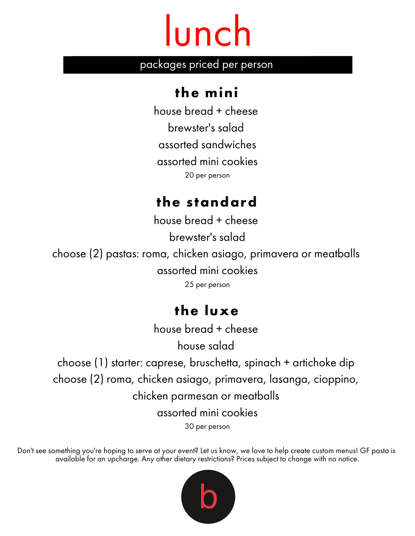# lunch

### packages priced per person

### **the mini**

house bread + cheese brewster's salad assorted sandwiches assorted mini cookies 20 per person

## **the standard**

Add body text house bread + cheese brewster's salad choose (2) pastas: roma, chicken asiago, primavera or meatballs assorted mini cookies 25 per person

# **the luxe**

house bread + cheese

house salad

choose (1) starter: caprese, bruschetta, spinach + artichoke dip choose (2) roma, chicken asiago, primavera, lasanga, cioppino, chicken parmesan or meatballs assorted mini cookies 30 per person

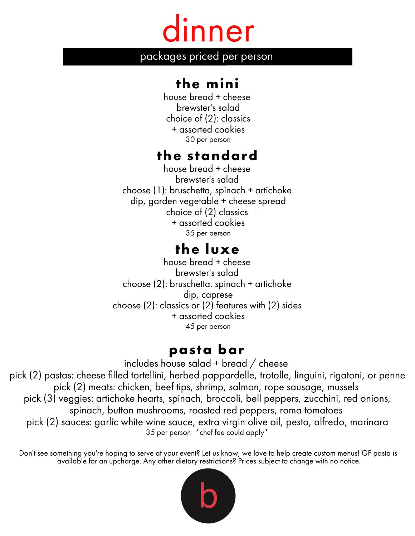# dinner

packages priced per person

## **the mini**

house bread + cheese brewster's salad choice of (2): classics + assorted cookies 30 per person

### **the standard**

choice of (2) classics house bread + cheese brewster's salad choose (1): bruschetta, spinach + artichoke dip, garden vegetable + cheese spread + assorted cookies 35 per person

## **the luxe**

house bread + cheese brewster's salad choose (2): bruschetta. spinach + artichoke dip, caprese choose (2): classics or (2) features with (2) sides + assorted cookies 45 per person

### **pasta bar**

includes house salad + bread / cheese pick (2) pastas: cheese filled tortellini, herbed pappardelle, trotolle, linguini, rigatoni, or penne pick (2) meats: chicken, beef tips, shrimp, salmon, rope sausage, mussels pick (3) veggies: artichoke hearts, spinach, broccoli, bell peppers, zucchini, red onions, spinach, button mushrooms, roasted red peppers, roma tomatoes pick (2) sauces: garlic white wine sauce, extra virgin olive oil, pesto, alfredo, marinara 35 per person \*chef fee could apply\*

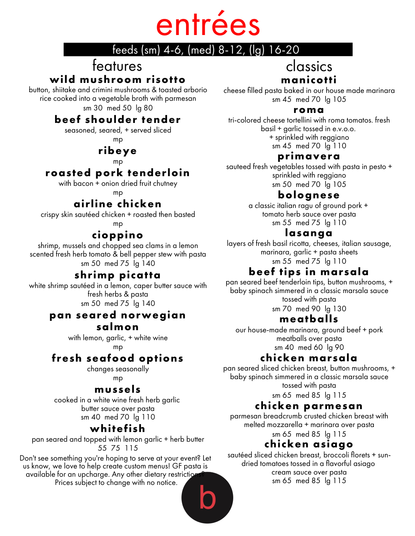# entrées

### feeds (sm) 4-6, (med) 8-12, (lg) 16-20

# features

### **wild mushroom risotto**

button, shiitake and crimini mushrooms & toasted arborio rice cooked into a vegetable broth with parmesan sm 30 med 50 lg 80

### **beef shoulder tender**

seasoned, seared, + served sliced mp

### **ribeye**

mp

### **roasted pork tenderloin**

with bacon + onion dried fruit chutney

mp

### **airline chicken**

Add body text crispy skin sautéed chicken + roasted then basted mp

### **cioppino**

shrimp, mussels and chopped sea clams in a lemon scented fresh herb tomato & bell pepper stew with pasta sm 50 med 75 lg 140

### **shrimp picatta**

white shrimp sautéed in a lemon, caper butter sauce with fresh herbs & pasta sm 50 med 75 lg 140

### **pan seared norwegian**

#### **salmon**

with lemon, garlic, + white wine mp

### **fresh seafood options**

changes seasonally mp

### **mussels**

cooked in a white wine fresh herb garlic butter sauce over pasta sm 40 med 70 lg 110

### **whitefish**

pan seared and topped with lemon garlic + herb butter 55 75 115

Don't see something you're hoping to serve at your event? Let us know, we love to help create custom menus! GF pasta is available for an upcharge. Any other dietary restriction Prices subject to change with no notice.

### classics **manicotti**

cheese filled pasta baked in our house made marinara sm 45 med 70 lg 105

#### **roma**

tri-colored cheese tortellini with roma tomatos. fresh basil + garlic tossed in e.v.o.o. + sprinkled with reggiano sm 45 med 70 lg 110

### **primavera**

sauteed fresh vegetables tossed with pasta in pesto + sprinkled with reggiano sm 50 med 70 lg 105

### **bolognese**

a classic italian ragu of ground pork + tomato herb sauce over pasta sm 55 med 75 lg 110

### **lasanga**

layers of fresh basil ricotta, cheeses, italian sausage, marinara, garlic + pasta sheets sm 55 med 75 lg 110

### **beef tips in marsala**

pan seared beef tenderloin tips, button mushrooms, + baby spinach simmered in a classic marsala sauce tossed with pasta sm 70 med 90 lg 130

### **meatballs**

our house-made marinara, ground beef + pork meatballs over pasta sm 40 med 60 lg 90

### **chicken marsala**

pan seared sliced chicken breast, button mushrooms, + baby spinach simmered in a classic marsala sauce tossed with pasta

sm 65 med 85 lg 115

### **chicken parmesan**

parmesan breadcrumb crusted chicken breast with melted mozzarella + marinara over pasta sm 65 med 85 lg 115

### **chicken asiago**

sautéed sliced chicken breast, broccoli florets + sundried tomatoes tossed in a flavorful asiago cream sauce over pasta sm 65 med 85 lg 115